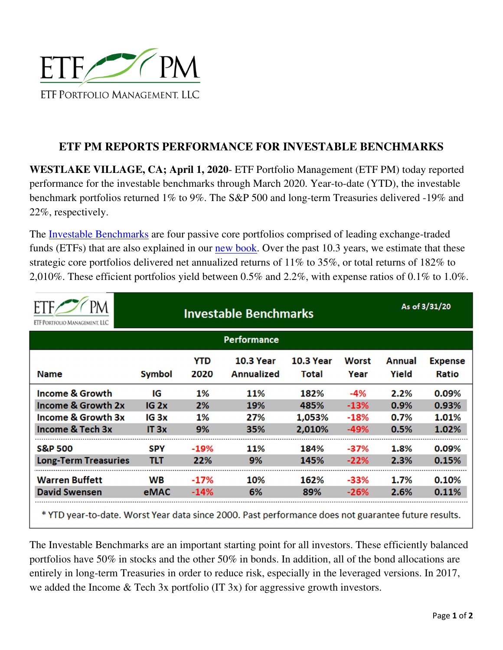

## **ETF PM REPORTS PERFORMANCE FOR INVESTABLE BENCHMARKS**

**WESTLAKE VILLAGE, CA; April 1, 2020**- ETF Portfolio Management (ETF PM) today reported performance for the investable benchmarks through March 2020. Year-to-date (YTD), the investable benchmark portfolios returned 1% to 9%. The S&P 500 and long-term Treasuries delivered -19% and 22%, respectively.

The Investable Benchmarks are four passive core portfolios comprised of leading exchange-traded funds (ETFs) that are also explained in our new book. Over the past 10.3 years, we estimate that these strategic core portfolios delivered net annualized returns of 11% to 35%, or total returns of 182% to 2,010%. These efficient portfolios yield between 0.5% and 2.2%, with expense ratios of 0.1% to 1.0%.

| ETF PORTFOLIO MANAGEMENT. LLC | <b>Investable Benchmarks</b> |                    |                                       |                           |                      | As of 3/31/20          |                         |
|-------------------------------|------------------------------|--------------------|---------------------------------------|---------------------------|----------------------|------------------------|-------------------------|
| <b>Performance</b>            |                              |                    |                                       |                           |                      |                        |                         |
| <b>Name</b>                   | <b>Symbol</b>                | <b>YTD</b><br>2020 | <b>10.3 Year</b><br><b>Annualized</b> | <b>10.3 Year</b><br>Total | <b>Worst</b><br>Year | <b>Annual</b><br>Yield | <b>Expense</b><br>Ratio |
| <b>Income &amp; Growth</b>    | IG                           | 1%                 | <b>11%</b>                            | 182%                      | $-4%$                | 2.2%                   | 0.09%                   |
| <b>Income &amp; Growth 2x</b> | IG <sub>2x</sub>             | 2%                 | 19%                                   | 485%                      | $-13%$               | 0.9%                   | 0.93%                   |
| <b>Income &amp; Growth 3x</b> | IG <sub>3</sub> x            | 1%                 | 27%                                   | 1,053%                    | $-18%$               | 0.7%                   | 1.01%                   |
| <b>Income &amp; Tech 3x</b>   | IT 3x                        | 9%                 | 35%                                   | 2,010%                    | $-49%$               | 0.5%                   | 1.02%                   |
| <b>S&amp;P 500</b>            | <b>SPY</b>                   | $-19%$             | 11%                                   | 184%                      | $-37%$               | 1.8%                   | 0.09%                   |
| <b>Long-Term Treasuries</b>   | <b>TLT</b>                   | 22%                | 9%                                    | 145%                      | $-22%$               | 2.3%                   | 0.15%                   |
| <b>Warren Buffett</b>         | <b>WB</b>                    | $-17%$             | 10%                                   | 162%                      | $-33%$               | 1.7%                   | 0.10%                   |
| <b>David Swensen</b>          | eMAC                         | -14%               | 6%                                    | 89%                       | $-26%$               | 2.6%                   | 0.11%                   |

The Investable Benchmarks are an important starting point for all investors. These efficiently balanced portfolios have 50% in stocks and the other 50% in bonds. In addition, all of the bond allocations are entirely in long-term Treasuries in order to reduce risk, especially in the leveraged versions. In 2017, we added the Income & Tech 3x portfolio (IT 3x) for aggressive growth investors.